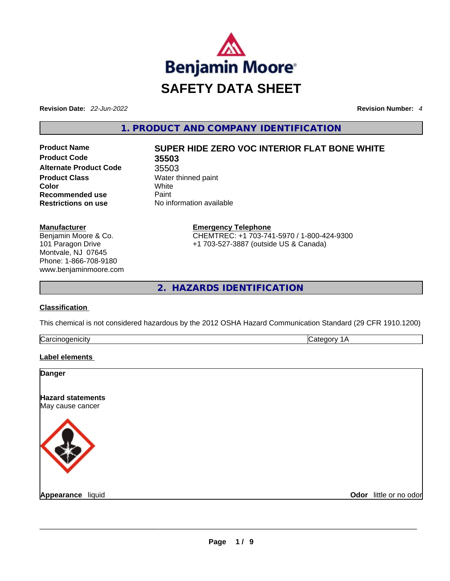

**Revision Date:** *22-Jun-2022* **Revision Number:** *4*

**1. PRODUCT AND COMPANY IDENTIFICATION** 

**Product Code 35503 Alternate Product Code** 35503 **Product Class Water thinned paint Color** White **Recommended use Paint Restrictions on use** No information available

**Manufacturer** Benjamin Moore & Co. 101 Paragon Drive Montvale, NJ 07645 Phone: 1-866-708-9180 www.benjaminmoore.com

# **Product Name SUPER HIDE ZERO VOC INTERIOR FLAT BONE WHITE**

**Emergency Telephone** CHEMTREC: +1 703-741-5970 / 1-800-424-9300 +1 703-527-3887 (outside US & Canada)

**2. HAZARDS IDENTIFICATION** 

# **Classification**

This chemical is not considered hazardous by the 2012 OSHA Hazard Communication Standard (29 CFR 1910.1200)

| ∽<br>. |  |
|--------|--|
|        |  |

#### **Label elements**

| <b>Danger</b>                                |                        |
|----------------------------------------------|------------------------|
| <b>Hazard statements</b><br>May cause cancer |                        |
|                                              |                        |
| Appearance liquid                            | Odor little or no odor |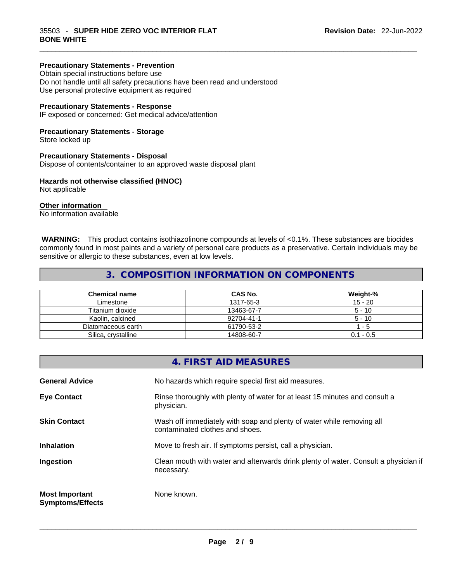#### **Precautionary Statements - Prevention**

Obtain special instructions before use Do not handle until all safety precautions have been read and understood Use personal protective equipment as required

#### **Precautionary Statements - Response**

IF exposed or concerned: Get medical advice/attention

#### **Precautionary Statements - Storage**

Store locked up

#### **Precautionary Statements - Disposal**

Dispose of contents/container to an approved waste disposal plant

#### **Hazards not otherwise classified (HNOC)**

Not applicable

#### **Other information**

No information available

 **WARNING:** This product contains isothiazolinone compounds at levels of <0.1%. These substances are biocides commonly found in most paints and a variety of personal care products as a preservative. Certain individuals may be sensitive or allergic to these substances, even at low levels.

 $\_$  ,  $\_$  ,  $\_$  ,  $\_$  ,  $\_$  ,  $\_$  ,  $\_$  ,  $\_$  ,  $\_$  ,  $\_$  ,  $\_$  ,  $\_$  ,  $\_$  ,  $\_$  ,  $\_$  ,  $\_$  ,  $\_$  ,  $\_$  ,  $\_$  ,  $\_$  ,  $\_$  ,  $\_$  ,  $\_$  ,  $\_$  ,  $\_$  ,  $\_$  ,  $\_$  ,  $\_$  ,  $\_$  ,  $\_$  ,  $\_$  ,  $\_$  ,  $\_$  ,  $\_$  ,  $\_$  ,  $\_$  ,  $\_$  ,

# **3. COMPOSITION INFORMATION ON COMPONENTS**

| <b>Chemical name</b> | CAS No.    | Weight-%    |
|----------------------|------------|-------------|
| Limestone            | 1317-65-3  | $15 - 20$   |
| Titanium dioxide     | 13463-67-7 | $5 - 10$    |
| Kaolin, calcined     | 92704-41-1 | $5 - 10$    |
| Diatomaceous earth   | 61790-53-2 | - 5         |
| Silica, crystalline  | 14808-60-7 | $0.1 - 0.5$ |

|                                                  | 4. FIRST AID MEASURES                                                                                    |
|--------------------------------------------------|----------------------------------------------------------------------------------------------------------|
| <b>General Advice</b>                            | No hazards which require special first aid measures.                                                     |
| <b>Eye Contact</b>                               | Rinse thoroughly with plenty of water for at least 15 minutes and consult a<br>physician.                |
| <b>Skin Contact</b>                              | Wash off immediately with soap and plenty of water while removing all<br>contaminated clothes and shoes. |
| <b>Inhalation</b>                                | Move to fresh air. If symptoms persist, call a physician.                                                |
| Ingestion                                        | Clean mouth with water and afterwards drink plenty of water. Consult a physician if<br>necessary.        |
| <b>Most Important</b><br><b>Symptoms/Effects</b> | None known.                                                                                              |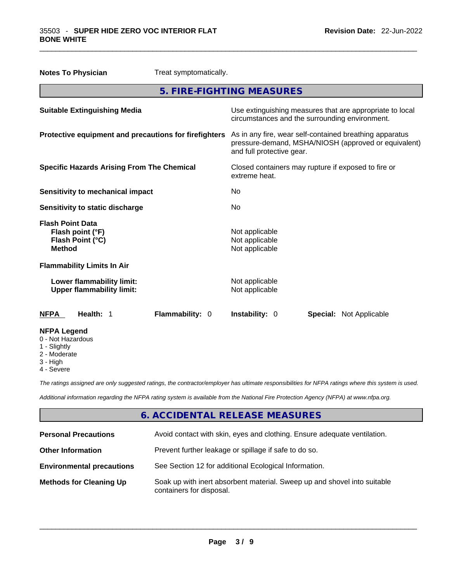| <b>Notes To Physician</b>                                     |                                      | Treat symptomatically.                                                                                                                       |                                                    |                                                          |                                |
|---------------------------------------------------------------|--------------------------------------|----------------------------------------------------------------------------------------------------------------------------------------------|----------------------------------------------------|----------------------------------------------------------|--------------------------------|
|                                                               |                                      | 5. FIRE-FIGHTING MEASURES                                                                                                                    |                                                    |                                                          |                                |
| <b>Suitable Extinguishing Media</b>                           |                                      | circumstances and the surrounding environment.                                                                                               |                                                    | Use extinguishing measures that are appropriate to local |                                |
| Protective equipment and precautions for firefighters         |                                      | As in any fire, wear self-contained breathing apparatus<br>pressure-demand, MSHA/NIOSH (approved or equivalent)<br>and full protective gear. |                                                    |                                                          |                                |
| <b>Specific Hazards Arising From The Chemical</b>             |                                      | Closed containers may rupture if exposed to fire or<br>extreme heat.                                                                         |                                                    |                                                          |                                |
| <b>Sensitivity to mechanical impact</b>                       |                                      | No                                                                                                                                           |                                                    |                                                          |                                |
| Sensitivity to static discharge                               |                                      | No                                                                                                                                           |                                                    |                                                          |                                |
| <b>Flash Point Data</b><br><b>Method</b>                      | Flash point (°F)<br>Flash Point (°C) |                                                                                                                                              | Not applicable<br>Not applicable<br>Not applicable |                                                          |                                |
|                                                               | <b>Flammability Limits In Air</b>    |                                                                                                                                              |                                                    |                                                          |                                |
| Lower flammability limit:<br><b>Upper flammability limit:</b> |                                      | Not applicable<br>Not applicable                                                                                                             |                                                    |                                                          |                                |
| <b>NFPA</b>                                                   | Health: 1                            | Flammability: 0                                                                                                                              | <b>Instability: 0</b>                              |                                                          | <b>Special:</b> Not Applicable |
| <b>NFPA Legend</b><br>0 - Not Hazardous<br>1 - Slightly       |                                      |                                                                                                                                              |                                                    |                                                          |                                |

 $\_$  ,  $\_$  ,  $\_$  ,  $\_$  ,  $\_$  ,  $\_$  ,  $\_$  ,  $\_$  ,  $\_$  ,  $\_$  ,  $\_$  ,  $\_$  ,  $\_$  ,  $\_$  ,  $\_$  ,  $\_$  ,  $\_$  ,  $\_$  ,  $\_$  ,  $\_$  ,  $\_$  ,  $\_$  ,  $\_$  ,  $\_$  ,  $\_$  ,  $\_$  ,  $\_$  ,  $\_$  ,  $\_$  ,  $\_$  ,  $\_$  ,  $\_$  ,  $\_$  ,  $\_$  ,  $\_$  ,  $\_$  ,  $\_$  ,

- 2 Moderate
- 3 High
- 

4 - Severe

*The ratings assigned are only suggested ratings, the contractor/employer has ultimate responsibilities for NFPA ratings where this system is used.* 

*Additional information regarding the NFPA rating system is available from the National Fire Protection Agency (NFPA) at www.nfpa.org.* 

# **6. ACCIDENTAL RELEASE MEASURES**

| <b>Personal Precautions</b>      | Avoid contact with skin, eyes and clothing. Ensure adequate ventilation.                             |
|----------------------------------|------------------------------------------------------------------------------------------------------|
| <b>Other Information</b>         | Prevent further leakage or spillage if safe to do so.                                                |
| <b>Environmental precautions</b> | See Section 12 for additional Ecological Information.                                                |
| <b>Methods for Cleaning Up</b>   | Soak up with inert absorbent material. Sweep up and shovel into suitable<br>containers for disposal. |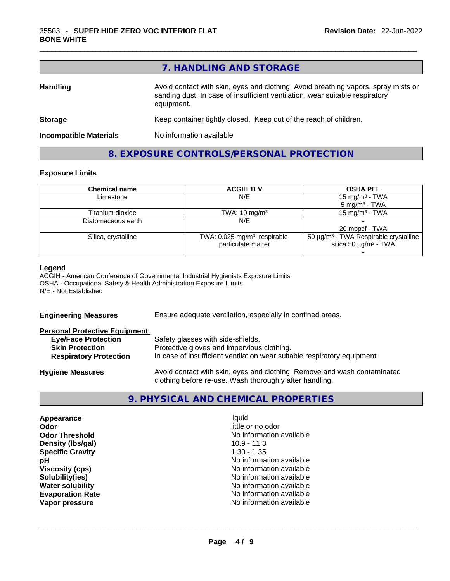|                               | 7. HANDLING AND STORAGE                                                                                                                                                          |
|-------------------------------|----------------------------------------------------------------------------------------------------------------------------------------------------------------------------------|
| <b>Handling</b>               | Avoid contact with skin, eyes and clothing. Avoid breathing vapors, spray mists or<br>sanding dust. In case of insufficient ventilation, wear suitable respiratory<br>equipment. |
| <b>Storage</b>                | Keep container tightly closed. Keep out of the reach of children.                                                                                                                |
| <b>Incompatible Materials</b> | No information available                                                                                                                                                         |

**8. EXPOSURE CONTROLS/PERSONAL PROTECTION** 

 $\_$  ,  $\_$  ,  $\_$  ,  $\_$  ,  $\_$  ,  $\_$  ,  $\_$  ,  $\_$  ,  $\_$  ,  $\_$  ,  $\_$  ,  $\_$  ,  $\_$  ,  $\_$  ,  $\_$  ,  $\_$  ,  $\_$  ,  $\_$  ,  $\_$  ,  $\_$  ,  $\_$  ,  $\_$  ,  $\_$  ,  $\_$  ,  $\_$  ,  $\_$  ,  $\_$  ,  $\_$  ,  $\_$  ,  $\_$  ,  $\_$  ,  $\_$  ,  $\_$  ,  $\_$  ,  $\_$  ,  $\_$  ,  $\_$  ,

# **Exposure Limits**

| <b>Chemical name</b> | <b>ACGIH TLV</b>                        | <b>OSHA PEL</b>                                   |
|----------------------|-----------------------------------------|---------------------------------------------------|
| Limestone            | N/E                                     | 15 mg/m <sup>3</sup> - TWA                        |
|                      |                                         | $5 \text{ mg/m}^3$ - TWA                          |
| Titanium dioxide     | TWA: $10 \text{ mg/m}^3$                | 15 mg/m $3$ - TWA                                 |
| Diatomaceous earth   | N/E                                     |                                                   |
|                      |                                         | 20 mppcf - TWA                                    |
| Silica, crystalline  | TWA: 0.025 mg/m <sup>3</sup> respirable | 50 µg/m <sup>3</sup> - TWA Respirable crystalline |
|                      | particulate matter                      | silica 50 $\mu$ g/m <sup>3</sup> - TWA            |
|                      |                                         |                                                   |

#### **Legend**

ACGIH - American Conference of Governmental Industrial Hygienists Exposure Limits OSHA - Occupational Safety & Health Administration Exposure Limits N/E - Not Established

| Ensure adequate ventilation, especially in confined areas.                                                                          |  |  |
|-------------------------------------------------------------------------------------------------------------------------------------|--|--|
|                                                                                                                                     |  |  |
| Safety glasses with side-shields.                                                                                                   |  |  |
| Protective gloves and impervious clothing.                                                                                          |  |  |
| In case of insufficient ventilation wear suitable respiratory equipment.                                                            |  |  |
| Avoid contact with skin, eyes and clothing. Remove and wash contaminated<br>clothing before re-use. Wash thoroughly after handling. |  |  |
|                                                                                                                                     |  |  |

# **9. PHYSICAL AND CHEMICAL PROPERTIES**

| Appearance              | liquid                   |  |
|-------------------------|--------------------------|--|
| Odor                    | little or no odor        |  |
| <b>Odor Threshold</b>   | No information available |  |
| Density (Ibs/gal)       | $10.9 - 11.3$            |  |
| <b>Specific Gravity</b> | $1.30 - 1.35$            |  |
| рH                      | No information available |  |
| <b>Viscosity (cps)</b>  | No information available |  |
| Solubility(ies)         | No information available |  |
| <b>Water solubility</b> | No information available |  |
| <b>Evaporation Rate</b> | No information available |  |
| Vapor pressure          | No information available |  |
|                         |                          |  |
|                         |                          |  |
|                         |                          |  |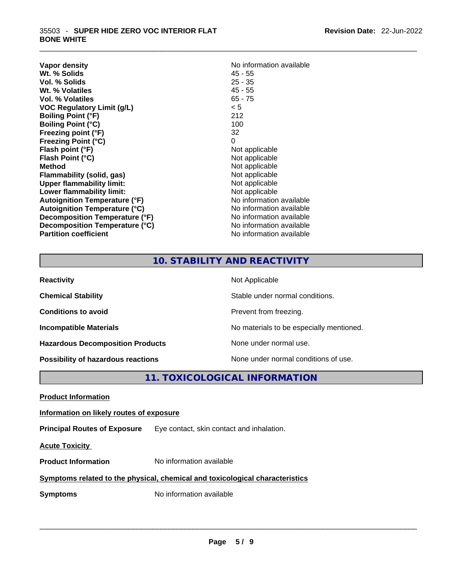| <b>Vapor density</b>                 | No information available |
|--------------------------------------|--------------------------|
| Wt. % Solids                         | $45 - 55$                |
| Vol. % Solids                        | $25 - 35$                |
| Wt. % Volatiles                      | $45 - 55$                |
| Vol. % Volatiles                     | $65 - 75$                |
| <b>VOC Regulatory Limit (g/L)</b>    | < 5                      |
| <b>Boiling Point (°F)</b>            | 212                      |
| <b>Boiling Point (°C)</b>            | 100                      |
| Freezing point (°F)                  | 32                       |
| <b>Freezing Point (°C)</b>           | 0                        |
| Flash point (°F)                     | Not applicable           |
| Flash Point (°C)                     | Not applicable           |
| <b>Method</b>                        | Not applicable           |
| Flammability (solid, gas)            | Not applicable           |
| <b>Upper flammability limit:</b>     | Not applicable           |
| Lower flammability limit:            | Not applicable           |
| <b>Autoignition Temperature (°F)</b> | No information available |
| <b>Autoignition Temperature (°C)</b> | No information available |
| Decomposition Temperature (°F)       | No information available |
| Decomposition Temperature (°C)       | No information available |
| <b>Partition coefficient</b>         | No information available |

 $\_$  ,  $\_$  ,  $\_$  ,  $\_$  ,  $\_$  ,  $\_$  ,  $\_$  ,  $\_$  ,  $\_$  ,  $\_$  ,  $\_$  ,  $\_$  ,  $\_$  ,  $\_$  ,  $\_$  ,  $\_$  ,  $\_$  ,  $\_$  ,  $\_$  ,  $\_$  ,  $\_$  ,  $\_$  ,  $\_$  ,  $\_$  ,  $\_$  ,  $\_$  ,  $\_$  ,  $\_$  ,  $\_$  ,  $\_$  ,  $\_$  ,  $\_$  ,  $\_$  ,  $\_$  ,  $\_$  ,  $\_$  ,  $\_$  ,

# **10. STABILITY AND REACTIVITY**

| <b>Reactivity</b>                         | Not Applicable                           |
|-------------------------------------------|------------------------------------------|
| <b>Chemical Stability</b>                 | Stable under normal conditions.          |
| <b>Conditions to avoid</b>                | Prevent from freezing.                   |
| <b>Incompatible Materials</b>             | No materials to be especially mentioned. |
| <b>Hazardous Decomposition Products</b>   | None under normal use.                   |
| <b>Possibility of hazardous reactions</b> | None under normal conditions of use.     |

**11. TOXICOLOGICAL INFORMATION** 

|--|

#### **Information on likely routes of exposure**

**Principal Routes of Exposure** Eye contact, skin contact and inhalation.

**Acute Toxicity** 

**Product Information** No information available

#### **Symptoms related to the physical,chemical and toxicological characteristics**

**Symptoms** No information available **Note that the set of the set of the set of the set of the set of the set of the set of the set of the set of the set of the set of the set of the set of the set of the set of the set of**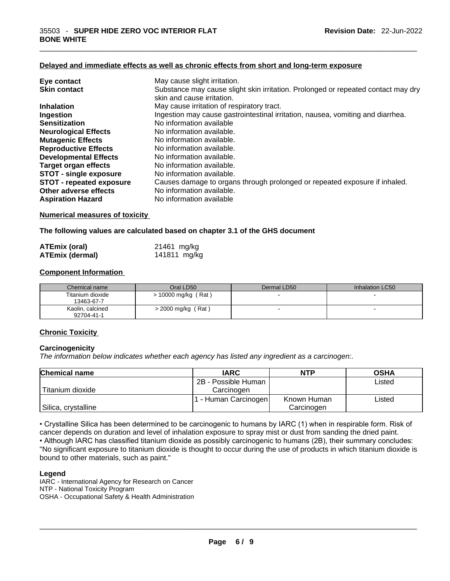#### **Delayed and immediate effects as well as chronic effects from short and long-term exposure**

| Eye contact                     | May cause slight irritation.                                                      |
|---------------------------------|-----------------------------------------------------------------------------------|
| <b>Skin contact</b>             | Substance may cause slight skin irritation. Prolonged or repeated contact may dry |
|                                 | skin and cause irritation.                                                        |
| <b>Inhalation</b>               | May cause irritation of respiratory tract.                                        |
| Ingestion                       | Ingestion may cause gastrointestinal irritation, nausea, vomiting and diarrhea.   |
| <b>Sensitization</b>            | No information available                                                          |
| <b>Neurological Effects</b>     | No information available.                                                         |
| <b>Mutagenic Effects</b>        | No information available.                                                         |
| <b>Reproductive Effects</b>     | No information available.                                                         |
| <b>Developmental Effects</b>    | No information available.                                                         |
| <b>Target organ effects</b>     | No information available.                                                         |
| <b>STOT - single exposure</b>   | No information available.                                                         |
| <b>STOT - repeated exposure</b> | Causes damage to organs through prolonged or repeated exposure if inhaled.        |
| Other adverse effects           | No information available.                                                         |
| <b>Aspiration Hazard</b>        | No information available                                                          |
|                                 |                                                                                   |

 $\_$  ,  $\_$  ,  $\_$  ,  $\_$  ,  $\_$  ,  $\_$  ,  $\_$  ,  $\_$  ,  $\_$  ,  $\_$  ,  $\_$  ,  $\_$  ,  $\_$  ,  $\_$  ,  $\_$  ,  $\_$  ,  $\_$  ,  $\_$  ,  $\_$  ,  $\_$  ,  $\_$  ,  $\_$  ,  $\_$  ,  $\_$  ,  $\_$  ,  $\_$  ,  $\_$  ,  $\_$  ,  $\_$  ,  $\_$  ,  $\_$  ,  $\_$  ,  $\_$  ,  $\_$  ,  $\_$  ,  $\_$  ,  $\_$  ,

#### **Numerical measures of toxicity**

**The following values are calculated based on chapter 3.1 of the GHS document**

| <b>ATEmix (oral)</b>   | 21461 mg/kg  |
|------------------------|--------------|
| <b>ATEmix (dermal)</b> | 141811 mg/kg |

#### **Component Information**

| Chemical name                  | Oral LD50             | Dermal LD50              | Inhalation LC50          |
|--------------------------------|-----------------------|--------------------------|--------------------------|
| Titanium dioxide<br>13463-67-7 | $> 10000$ mg/kg (Rat) |                          |                          |
| Kaolin, calcined<br>92704-41-1 | $>$ 2000 mg/kg (Rat)  | $\overline{\phantom{0}}$ | $\overline{\phantom{0}}$ |

#### **Chronic Toxicity**

#### **Carcinogenicity**

*The information below indicates whether each agency has listed any ingredient as a carcinogen:.* 

| <b>Chemical name</b> | <b>IARC</b>          | <b>NTP</b>  | <b>OSHA</b> |
|----------------------|----------------------|-------------|-------------|
|                      | 2B - Possible Human  |             | Listed      |
| Titanium dioxide     | Carcinogen           |             |             |
|                      | 1 - Human Carcinogen | Known Human | Listed      |
| Silica, crystalline  |                      | Carcinogen  |             |

• Crystalline Silica has been determined to be carcinogenic to humans by IARC (1) when in respirable form. Risk of cancer depends on duration and level of inhalation exposure to spray mist or dust from sanding the dried paint.

• Although IARC has classified titanium dioxide as possibly carcinogenic to humans (2B), their summary concludes: "No significant exposure to titanium dioxide is thought to occur during the use of products in which titanium dioxide is bound to other materials, such as paint."

#### **Legend**

IARC - International Agency for Research on Cancer NTP - National Toxicity Program OSHA - Occupational Safety & Health Administration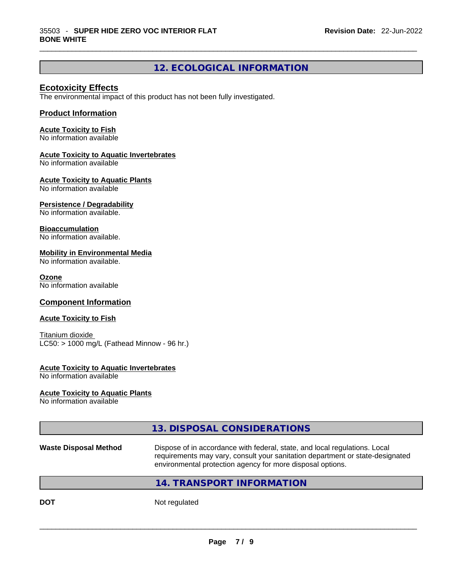# **12. ECOLOGICAL INFORMATION**

 $\_$  ,  $\_$  ,  $\_$  ,  $\_$  ,  $\_$  ,  $\_$  ,  $\_$  ,  $\_$  ,  $\_$  ,  $\_$  ,  $\_$  ,  $\_$  ,  $\_$  ,  $\_$  ,  $\_$  ,  $\_$  ,  $\_$  ,  $\_$  ,  $\_$  ,  $\_$  ,  $\_$  ,  $\_$  ,  $\_$  ,  $\_$  ,  $\_$  ,  $\_$  ,  $\_$  ,  $\_$  ,  $\_$  ,  $\_$  ,  $\_$  ,  $\_$  ,  $\_$  ,  $\_$  ,  $\_$  ,  $\_$  ,  $\_$  ,

#### **Ecotoxicity Effects**

The environmental impact of this product has not been fully investigated.

### **Product Information**

#### **Acute Toxicity to Fish**

No information available

#### **Acute Toxicity to Aquatic Invertebrates**

No information available

#### **Acute Toxicity to Aquatic Plants**

No information available

#### **Persistence / Degradability**

No information available.

#### **Bioaccumulation**

No information available.

#### **Mobility in Environmental Media**

No information available.

#### **Ozone**

No information available

### **Component Information**

#### **Acute Toxicity to Fish**

Titanium dioxide  $LC50:$  > 1000 mg/L (Fathead Minnow - 96 hr.)

#### **Acute Toxicity to Aquatic Invertebrates**

No information available

#### **Acute Toxicity to Aquatic Plants**

No information available

# **13. DISPOSAL CONSIDERATIONS**

#### **Waste Disposal Method** Dispose of in accordance with federal, state, and local regulations. Local requirements may vary, consult your sanitation department or state-designated environmental protection agency for more disposal options.

# **14. TRANSPORT INFORMATION**

**DOT** Not regulated  $\blacksquare$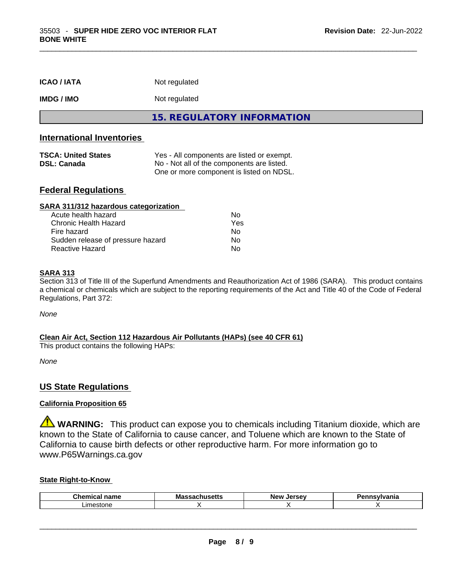| <b>ICAO/IATA</b>                                 | Not regulated                                                                                                                        |
|--------------------------------------------------|--------------------------------------------------------------------------------------------------------------------------------------|
| <b>IMDG/IMO</b>                                  | Not regulated                                                                                                                        |
|                                                  | <b>15. REGULATORY INFORMATION</b>                                                                                                    |
| <b>International Inventories</b>                 |                                                                                                                                      |
| <b>TSCA: United States</b><br><b>DSL: Canada</b> | Yes - All components are listed or exempt.<br>No - Not all of the components are listed.<br>One or more component is listed on NDSL. |

 $\_$  ,  $\_$  ,  $\_$  ,  $\_$  ,  $\_$  ,  $\_$  ,  $\_$  ,  $\_$  ,  $\_$  ,  $\_$  ,  $\_$  ,  $\_$  ,  $\_$  ,  $\_$  ,  $\_$  ,  $\_$  ,  $\_$  ,  $\_$  ,  $\_$  ,  $\_$  ,  $\_$  ,  $\_$  ,  $\_$  ,  $\_$  ,  $\_$  ,  $\_$  ,  $\_$  ,  $\_$  ,  $\_$  ,  $\_$  ,  $\_$  ,  $\_$  ,  $\_$  ,  $\_$  ,  $\_$  ,  $\_$  ,  $\_$  ,

# **Federal Regulations**

| SARA 311/312 hazardous categorization |     |  |
|---------------------------------------|-----|--|
| Acute health hazard                   | Nο  |  |
| <b>Chronic Health Hazard</b>          | Yes |  |
| Fire hazard                           | No  |  |
| Sudden release of pressure hazard     | Nο  |  |
| <b>Reactive Hazard</b>                | No  |  |

#### **SARA 313**

Section 313 of Title III of the Superfund Amendments and Reauthorization Act of 1986 (SARA). This product contains a chemical or chemicals which are subject to the reporting requirements of the Act and Title 40 of the Code of Federal Regulations, Part 372:

*None*

#### **Clean Air Act,Section 112 Hazardous Air Pollutants (HAPs) (see 40 CFR 61)**

This product contains the following HAPs:

*None*

#### **US State Regulations**

#### **California Proposition 65**

**WARNING:** This product can expose you to chemicals including Titanium dioxide, which are known to the State of California to cause cancer, and Toluene which are known to the State of California to cause birth defects or other reproductive harm. For more information go to www.P65Warnings.ca.gov

#### **State Right-to-Know**

| Chemic<br>$ -$<br>'iallit<br>. | <b>Massachusetts</b><br>mon | New<br>Jersev | aauluania<br>'dilla |
|--------------------------------|-----------------------------|---------------|---------------------|
| .imestone                      |                             |               |                     |